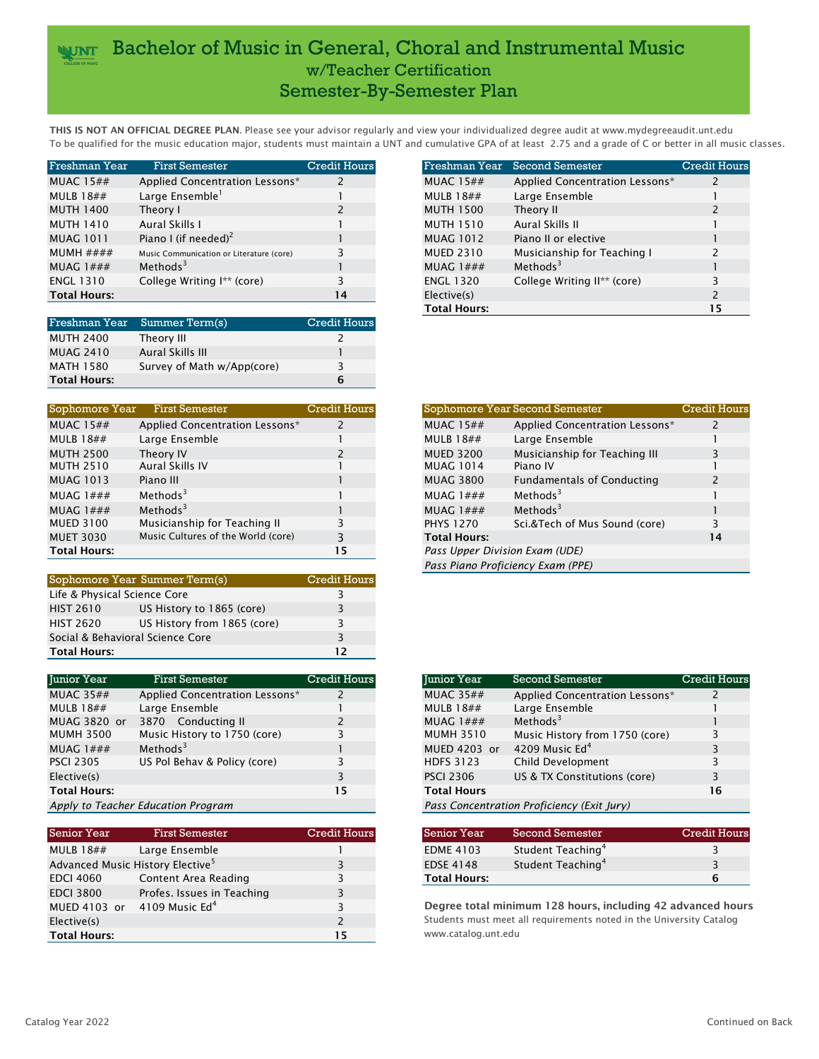## **WAT** Bachelor of Music in General, Choral and Instrumental Music w/Teacher Certification Semester-By-Semester Plan

THIS IS NOT AN OFFICIAL DEGREE PLAN. Please see your advisor regularly and view your individualized degree audit at www.mydegreeaudit.unt.edu To be qualified for the music education major, students must maintain a UNT and cumulative GPA of at least 2.75 and a grade of C or better in all music classes.

| Freshman Year       | <b>First Semester</b>                    | <b>Credit Hours</b> |                  | Freshman Year Second Semester  | <b>Credit Hours</b> |
|---------------------|------------------------------------------|---------------------|------------------|--------------------------------|---------------------|
| MUAC $15##$         | Applied Concentration Lessons*           |                     | MUAC $15#$ #     | Applied Concentration Lessons* |                     |
| MULB $18##$         | Large Ensemble <sup>1</sup>              |                     | MULB $18##$      | Large Ensemble                 |                     |
| <b>MUTH 1400</b>    | Theory I                                 |                     | <b>MUTH 1500</b> | Theory II                      |                     |
| <b>MUTH 1410</b>    | Aural Skills I                           |                     | <b>MUTH 1510</b> | Aural Skills II                |                     |
| <b>MUAG 1011</b>    | Piano I (if needed) <sup>2</sup>         |                     | <b>MUAG 1012</b> | Piano II or elective           |                     |
| MUMH $\# \# \# \#$  | Music Communication or Literature (core) |                     | <b>MUED 2310</b> | Musicianship for Teaching I    |                     |
| MUAG $1###$         | Methods <sup>3</sup>                     |                     | MUAG $1###$      | Methods $3$                    |                     |
| <b>ENGL 1310</b>    | College Writing I** (core)               |                     | <b>ENGL 1320</b> | College Writing II** (core)    |                     |
| <b>Total Hours:</b> |                                          | 14                  | Elective(s)      |                                |                     |

| Freshman Year       | Summer Term(s)             | <b>Credit Hours</b> |
|---------------------|----------------------------|---------------------|
| <b>MUTH 2400</b>    | Theory III                 |                     |
| <b>MUAG 2410</b>    | Aural Skills III           |                     |
| <b>MATH 1580</b>    | Survey of Math w/App(core) | 3                   |
| <b>Total Hours:</b> |                            | 6                   |

| Sophomore Year      | <b>First Semester</b>              | <b>Credit Hours</b> | Sophomore Year Second Semester                        | Credit 1 |
|---------------------|------------------------------------|---------------------|-------------------------------------------------------|----------|
| MUAC $15##$         | Applied Concentration Lessons*     |                     | Applied Concentration Lessons*<br>MUAC $15##$         |          |
| MULB $18##$         | Large Ensemble                     |                     | Large Ensemble<br>MULB $18##$                         |          |
| <b>MUTH 2500</b>    | Theory IV                          |                     | Musicianship for Teaching III<br><b>MUED 3200</b>     |          |
| <b>MUTH 2510</b>    | Aural Skills IV                    |                     | <b>MUAG 1014</b><br>Piano IV                          |          |
| <b>MUAG 1013</b>    | Piano III                          |                     | <b>MUAG 3800</b><br><b>Fundamentals of Conducting</b> |          |
| MUAG $1###$         | Methods $3$                        |                     | Methods $3$<br>MUAG $1###$                            |          |
| MUAG $1###$         | Methods $3$                        |                     | Methods $3$<br>MUAG $1###$                            |          |
| <b>MUED 3100</b>    | Musicianship for Teaching II       |                     | Sci.&Tech of Mus Sound (core)<br><b>PHYS 1270</b>     |          |
| <b>MUET 3030</b>    | Music Cultures of the World (core) |                     | <b>Total Hours:</b>                                   | 14       |
| <b>Total Hours:</b> |                                    | 15                  | Pass Upper Division Exam (UDE)                        |          |

|                                  | Sophomore Year Summer Term(s) | <b>Credit Hours</b> |
|----------------------------------|-------------------------------|---------------------|
|                                  | Life & Physical Science Core  |                     |
| <b>HIST 2610</b>                 | US History to 1865 (core)     |                     |
| <b>HIST 2620</b>                 | US History from 1865 (core)   |                     |
| Social & Behavioral Science Core |                               |                     |
| <b>Total Hours:</b>              | 12                            |                     |

| Junior Year         | <b>First Semester</b>              | Credit Hours | <b>Iunior Year</b> | Second Semester                            | <b>Credit Hours</b> |
|---------------------|------------------------------------|--------------|--------------------|--------------------------------------------|---------------------|
| MUAC $35##$         | Applied Concentration Lessons*     |              | MUAC $35##$        | Applied Concentration Lessons*             |                     |
| MULB $18##$         | Large Ensemble                     |              | MULB $18##$        | Large Ensemble                             |                     |
| MUAG 3820 or        | 3870 Conducting II                 |              | MUAG $1###$        | Methods $3$                                |                     |
| <b>MUMH 3500</b>    | Music History to 1750 (core)       |              | <b>MUMH 3510</b>   | Music History from 1750 (core)             |                     |
| MUAG $1###$         | Methods <sup>3</sup>               |              | MUED 4203 or       | 4209 Music $Ed4$                           |                     |
| <b>PSCI 2305</b>    | US Pol Behav & Policy (core)       |              | <b>HDFS 3123</b>   | Child Development                          |                     |
| Elective(s)         |                                    |              | <b>PSCI 2306</b>   | US & TX Constitutions (core)               |                     |
| <b>Total Hours:</b> |                                    | 15           | <b>Total Hours</b> |                                            | 16                  |
|                     | Annly to Teacher Education Program |              |                    | Pass Concentration Proficiency (Evit Jury) |                     |

*Apply to Teacher Education Program Pass Concentration Proficiency (Exit Jury)*

| <b>Senior Year</b>  | <b>First Semester</b>                        | <b>Credit Hours</b> | <b>Senior Year</b>  | <b>Second Semester</b>                                              | <b>Credit Hours</b> |
|---------------------|----------------------------------------------|---------------------|---------------------|---------------------------------------------------------------------|---------------------|
| MULB $18##$         | Large Ensemble                               |                     | <b>EDME 4103</b>    | Student Teaching <sup>4</sup>                                       |                     |
|                     | Advanced Music History Elective <sup>5</sup> |                     | <b>EDSE 4148</b>    | Student Teaching <sup>4</sup>                                       |                     |
| <b>EDCI 4060</b>    | Content Area Reading                         |                     | <b>Total Hours:</b> |                                                                     | 6                   |
| <b>EDCI 3800</b>    | Profes. Issues in Teaching                   |                     |                     |                                                                     |                     |
| MUED 4103 or        | 4109 Music $Ed4$                             |                     |                     | Degree total minimum 128 hours, including 42 advanced hour          |                     |
| Elective(s)         |                                              |                     |                     | Students must meet all requirements noted in the University Catalog |                     |
| <b>Total Hours:</b> |                                              | 15                  | www.catalog.unt.edu |                                                                     |                     |

| Freshman Year      | <b>First Semester</b>                    | <b>Credit Hours</b> | Freshman Year       | Second Semester                | <b>Credit Hours</b> |
|--------------------|------------------------------------------|---------------------|---------------------|--------------------------------|---------------------|
| <b>MUAC 15##</b>   | Applied Concentration Lessons*           |                     | MUAC $15##$         | Applied Concentration Lessons* |                     |
| <b>MULB 18##</b>   | Large Ensemble <sup>1</sup>              |                     | MULB $18##$         | Large Ensemble                 |                     |
| MUTH 1400          | Theory I                                 |                     | <b>MUTH 1500</b>    | Theory II                      |                     |
| MUTH 1410          | Aural Skills I                           |                     | <b>MUTH 1510</b>    | Aural Skills II                |                     |
| MUAG 1011          | Piano I (if needed) <sup>2</sup>         |                     | <b>MUAG 1012</b>    | Piano II or elective           |                     |
| MUMH $\# \# \# \#$ | Music Communication or Literature (core) |                     | <b>MUED 2310</b>    | Musicianship for Teaching I    |                     |
| MUAG $1###$        | Methods <sup>3</sup>                     |                     | MUAG $1###$         | Methods <sup>3</sup>           |                     |
| ENGL 1310          | College Writing I** (core)               |                     | <b>ENGL 1320</b>    | College Writing II** (core)    |                     |
| Total Hours:       |                                          | 14                  | Elective(s)         |                                |                     |
|                    |                                          |                     | <b>Total Hours:</b> |                                | 15                  |

| Sophomore Year   | <b>First Semester</b>              | <b>Credit Hours</b> |                                | Sophomore Year Second Semester    | <b>Credit Hours</b> |
|------------------|------------------------------------|---------------------|--------------------------------|-----------------------------------|---------------------|
| <b>MUAC 15##</b> | Applied Concentration Lessons*     |                     | MUAC $15##$                    | Applied Concentration Lessons*    |                     |
| <b>MULB 18##</b> | Large Ensemble                     |                     | MULB $18##$                    | Large Ensemble                    |                     |
| MUTH 2500        | Theory IV                          |                     | <b>MUED 3200</b>               | Musicianship for Teaching III     |                     |
| MUTH 2510        | Aural Skills IV                    |                     | <b>MUAG 1014</b>               | Piano IV                          |                     |
| <b>MUAG 1013</b> | Piano III                          |                     | <b>MUAG 3800</b>               | <b>Fundamentals of Conducting</b> |                     |
| MUAG $1###$      | Methods $3$                        |                     | MUAG $1###$                    | Methods $3$                       |                     |
| MUAG $1###$      | Methods $3$                        |                     | MUAG $1###$                    | Methods $3$                       |                     |
| MUED 3100        | Musicianship for Teaching II       |                     | <b>PHYS 1270</b>               | Sci.&Tech of Mus Sound (core)     |                     |
| MUET 3030        | Music Cultures of the World (core) |                     | <b>Total Hours:</b>            |                                   | 14                  |
| Total Hours:     |                                    | 15                  | Pass Upper Division Exam (UDE) |                                   |                     |
|                  |                                    |                     |                                | Pass Piano Proficiency Exam (PPE) |                     |

| <b>Junior Year</b> | <b>Second Semester</b>                     | <b>Credit Hours</b> |
|--------------------|--------------------------------------------|---------------------|
| <b>MUAC 35##</b>   | Applied Concentration Lessons*             | 2                   |
| <b>MULB 18##</b>   | Large Ensemble                             |                     |
| MUAG $1\# \# \#$   | Methods $3$                                |                     |
| <b>MUMH 3510</b>   | Music History from 1750 (core)             | З                   |
| MUED 4203 or       | 4209 Music Ed <sup>4</sup>                 | 3                   |
| <b>HDFS 3123</b>   | Child Development                          | ξ                   |
| <b>PSCI 2306</b>   | US & TX Constitutions (core)               | 3                   |
| <b>Total Hours</b> |                                            | 16                  |
|                    | Pass Concentration Proficiency (Exit Jury) |                     |
|                    |                                            |                     |

| Senior Year         | Second Semester               | <b>Credit Hours</b> |
|---------------------|-------------------------------|---------------------|
| <b>EDME 4103</b>    | Student Teaching <sup>4</sup> | ₹                   |
| <b>EDSE 4148</b>    | Student Teaching <sup>4</sup> | २                   |
| <b>Total Hours:</b> |                               | 6                   |